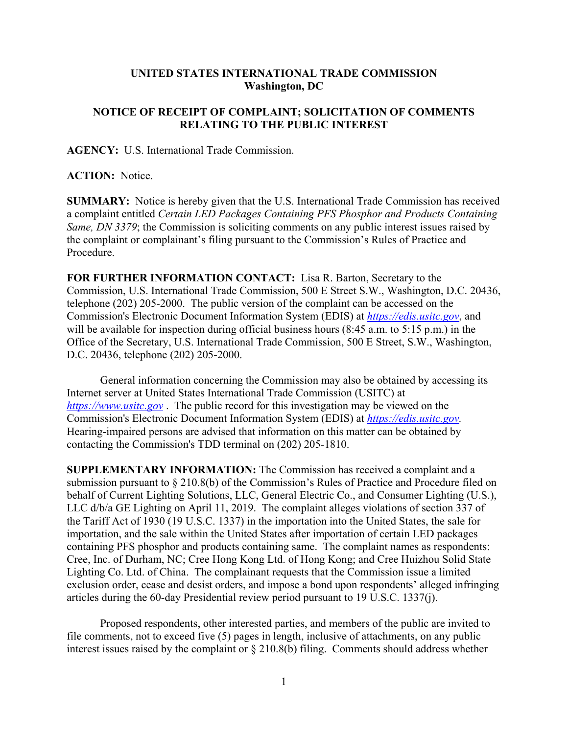## **UNITED STATES INTERNATIONAL TRADE COMMISSION Washington, DC**

## **NOTICE OF RECEIPT OF COMPLAINT; SOLICITATION OF COMMENTS RELATING TO THE PUBLIC INTEREST**

**AGENCY:** U.S. International Trade Commission.

**ACTION:** Notice.

**SUMMARY:** Notice is hereby given that the U.S. International Trade Commission has received a complaint entitled *Certain LED Packages Containing PFS Phosphor and Products Containing Same, DN 3379*; the Commission is soliciting comments on any public interest issues raised by the complaint or complainant's filing pursuant to the Commission's Rules of Practice and Procedure.

**FOR FURTHER INFORMATION CONTACT:** Lisa R. Barton, Secretary to the Commission, U.S. International Trade Commission, 500 E Street S.W., Washington, D.C. 20436, telephone (202) 205-2000. The public version of the complaint can be accessed on the Commission's Electronic Document Information System (EDIS) at *[https://edis.usitc.gov](https://edis.usitc.gov/)*, and will be available for inspection during official business hours (8:45 a.m. to 5:15 p.m.) in the Office of the Secretary, U.S. International Trade Commission, 500 E Street, S.W., Washington, D.C. 20436, telephone (202) 205-2000.

General information concerning the Commission may also be obtained by accessing its Internet server at United States International Trade Commission (USITC) at *[https://www.usitc.gov](https://www.usitc.gov/)* . The public record for this investigation may be viewed on the Commission's Electronic Document Information System (EDIS) at *[https://edis.usitc.gov.](https://edis.usitc.gov/)* Hearing-impaired persons are advised that information on this matter can be obtained by contacting the Commission's TDD terminal on (202) 205-1810.

**SUPPLEMENTARY INFORMATION:** The Commission has received a complaint and a submission pursuant to § 210.8(b) of the Commission's Rules of Practice and Procedure filed on behalf of Current Lighting Solutions, LLC, General Electric Co., and Consumer Lighting (U.S.), LLC d/b/a GE Lighting on April 11, 2019. The complaint alleges violations of section 337 of the Tariff Act of 1930 (19 U.S.C. 1337) in the importation into the United States, the sale for importation, and the sale within the United States after importation of certain LED packages containing PFS phosphor and products containing same. The complaint names as respondents: Cree, Inc. of Durham, NC; Cree Hong Kong Ltd. of Hong Kong; and Cree Huizhou Solid State Lighting Co. Ltd. of China. The complainant requests that the Commission issue a limited exclusion order, cease and desist orders, and impose a bond upon respondents' alleged infringing articles during the 60-day Presidential review period pursuant to 19 U.S.C. 1337(j).

Proposed respondents, other interested parties, and members of the public are invited to file comments, not to exceed five (5) pages in length, inclusive of attachments, on any public interest issues raised by the complaint or § 210.8(b) filing. Comments should address whether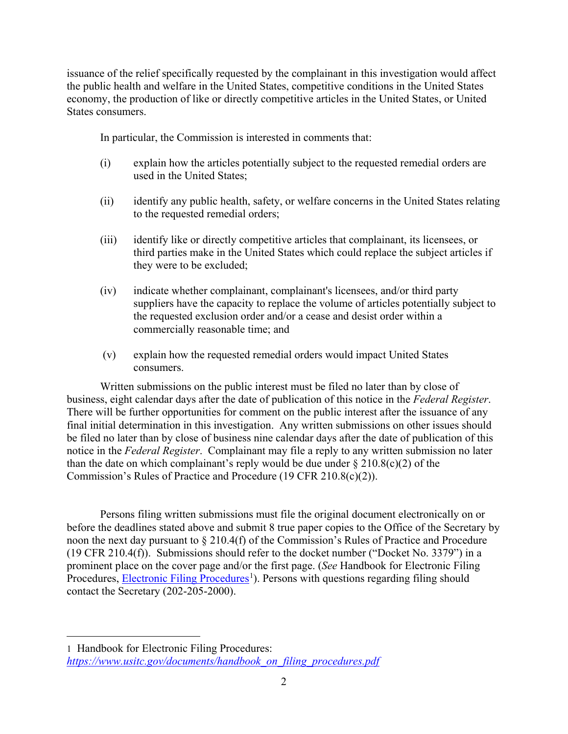issuance of the relief specifically requested by the complainant in this investigation would affect the public health and welfare in the United States, competitive conditions in the United States economy, the production of like or directly competitive articles in the United States, or United States consumers.

In particular, the Commission is interested in comments that:

- (i) explain how the articles potentially subject to the requested remedial orders are used in the United States;
- (ii) identify any public health, safety, or welfare concerns in the United States relating to the requested remedial orders;
- (iii) identify like or directly competitive articles that complainant, its licensees, or third parties make in the United States which could replace the subject articles if they were to be excluded;
- (iv) indicate whether complainant, complainant's licensees, and/or third party suppliers have the capacity to replace the volume of articles potentially subject to the requested exclusion order and/or a cease and desist order within a commercially reasonable time; and
- (v) explain how the requested remedial orders would impact United States consumers.

Written submissions on the public interest must be filed no later than by close of business, eight calendar days after the date of publication of this notice in the *Federal Register*. There will be further opportunities for comment on the public interest after the issuance of any final initial determination in this investigation. Any written submissions on other issues should be filed no later than by close of business nine calendar days after the date of publication of this notice in the *Federal Register*. Complainant may file a reply to any written submission no later than the date on which complainant's reply would be due under  $\S 210.8(c)(2)$  of the Commission's Rules of Practice and Procedure (19 CFR 210.8(c)(2)).

Persons filing written submissions must file the original document electronically on or before the deadlines stated above and submit 8 true paper copies to the Office of the Secretary by noon the next day pursuant to § 210.4(f) of the Commission's Rules of Practice and Procedure (19 CFR 210.4(f)). Submissions should refer to the docket number ("Docket No. 3379") in a prominent place on the cover page and/or the first page. (*See* Handbook for Electronic Filing Procedures, **Electronic Filing Procedures**<sup>[1](#page-1-0)</sup>). Persons with questions regarding filing should contact the Secretary (202-205-2000).

 $\overline{a}$ 

<span id="page-1-0"></span><sup>1</sup> Handbook for Electronic Filing Procedures: *[https://www.usitc.gov/documents/handbook\\_on\\_filing\\_procedures.pdf](https://www.usitc.gov/documents/handbook_on_filing_procedures.pdf)*